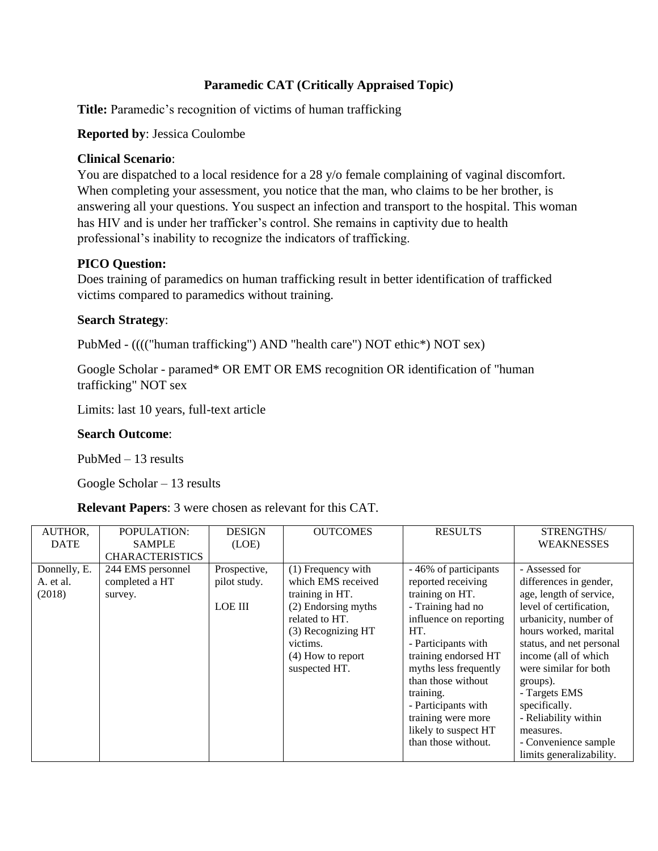## **Paramedic CAT (Critically Appraised Topic)**

**Title:** Paramedic's recognition of victims of human trafficking

#### **Reported by**: Jessica Coulombe

#### **Clinical Scenario**:

You are dispatched to a local residence for a 28 y/o female complaining of vaginal discomfort. When completing your assessment, you notice that the man, who claims to be her brother, is answering all your questions. You suspect an infection and transport to the hospital. This woman has HIV and is under her trafficker's control. She remains in captivity due to health professional's inability to recognize the indicators of trafficking.

### **PICO Question:**

Does training of paramedics on human trafficking result in better identification of trafficked victims compared to paramedics without training.

#### **Search Strategy**:

PubMed - (((("human trafficking") AND "health care") NOT ethic\*) NOT sex)

Google Scholar - paramed\* OR EMT OR EMS recognition OR identification of "human trafficking" NOT sex

Limits: last 10 years, full-text article

#### **Search Outcome**:

PubMed – 13 results

Google Scholar – 13 results

**Relevant Papers**: 3 were chosen as relevant for this CAT.

| AUTHOR,                             | POPULATION:<br><b>SAMPLE</b>                   | <b>DESIGN</b>                                  | <b>OUTCOMES</b>                                                                                                                                                                  | <b>RESULTS</b>                                                                                                                                                                                                                                                                                                              | STRENGTHS/<br><b>WEAKNESSES</b>                                                                                                                                                                                                                                                                                                          |
|-------------------------------------|------------------------------------------------|------------------------------------------------|----------------------------------------------------------------------------------------------------------------------------------------------------------------------------------|-----------------------------------------------------------------------------------------------------------------------------------------------------------------------------------------------------------------------------------------------------------------------------------------------------------------------------|------------------------------------------------------------------------------------------------------------------------------------------------------------------------------------------------------------------------------------------------------------------------------------------------------------------------------------------|
| <b>DATE</b>                         | <b>CHARACTERISTICS</b>                         | (LOE)                                          |                                                                                                                                                                                  |                                                                                                                                                                                                                                                                                                                             |                                                                                                                                                                                                                                                                                                                                          |
| Donnelly, E.<br>A. et al.<br>(2018) | 244 EMS personnel<br>completed a HT<br>survey. | Prospective,<br>pilot study.<br><b>LOE III</b> | $(1)$ Frequency with<br>which EMS received<br>training in HT.<br>(2) Endorsing myths<br>related to HT.<br>(3) Recognizing HT<br>victims.<br>$(4)$ How to report<br>suspected HT. | - 46% of participants<br>reported receiving<br>training on HT.<br>- Training had no<br>influence on reporting<br>HT.<br>- Participants with<br>training endorsed HT<br>myths less frequently<br>than those without<br>training.<br>- Participants with<br>training were more<br>likely to suspect HT<br>than those without. | - Assessed for<br>differences in gender,<br>age, length of service,<br>level of certification,<br>urbanicity, number of<br>hours worked, marital<br>status, and net personal<br>income (all of which<br>were similar for both<br>groups).<br>- Targets EMS<br>specifically.<br>- Reliability within<br>measures.<br>- Convenience sample |
|                                     |                                                |                                                |                                                                                                                                                                                  |                                                                                                                                                                                                                                                                                                                             | limits generalizability.                                                                                                                                                                                                                                                                                                                 |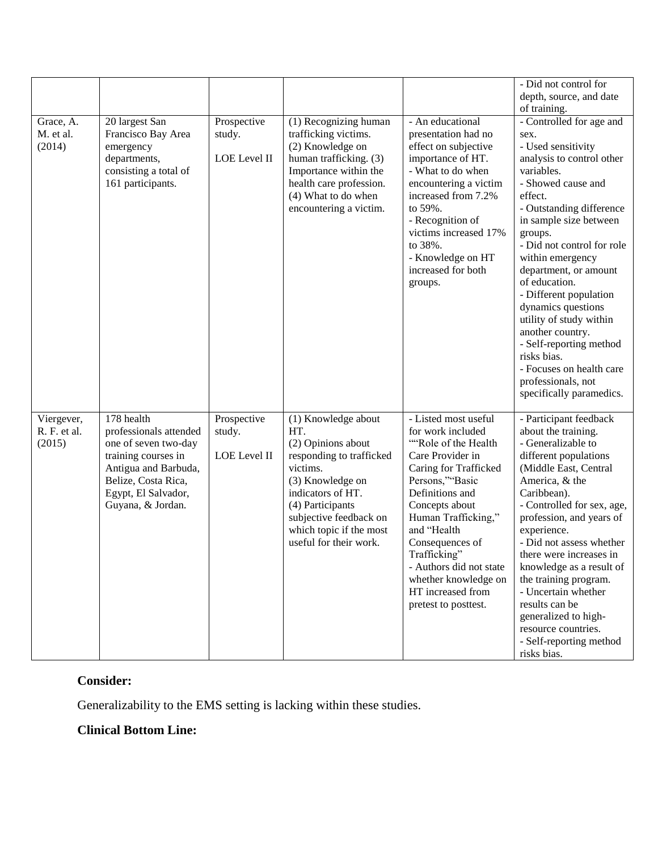| Grace, A.<br>M. et al.<br>(2014)     | 20 largest San<br>Francisco Bay Area<br>emergency<br>departments,<br>consisting a total of<br>161 participants.                                                                | Prospective<br>study.<br>LOE Level II | (1) Recognizing human<br>trafficking victims.<br>(2) Knowledge on<br>human trafficking. (3)<br>Importance within the<br>health care profession.<br>(4) What to do when<br>encountering a victim.                                     | - An educational<br>presentation had no<br>effect on subjective<br>importance of HT.<br>- What to do when<br>encountering a victim<br>increased from 7.2%<br>to 59%.<br>- Recognition of<br>victims increased 17%<br>to 38%.<br>- Knowledge on HT<br>increased for both<br>groups.                                                             | - Did not control for<br>depth, source, and date<br>of training.<br>- Controlled for age and<br>sex.<br>- Used sensitivity<br>analysis to control other<br>variables.<br>- Showed cause and<br>effect.<br>- Outstanding difference<br>in sample size between<br>groups.<br>- Did not control for role<br>within emergency<br>department, or amount<br>of education.<br>- Different population<br>dynamics questions<br>utility of study within<br>another country.<br>- Self-reporting method<br>risks bias.<br>- Focuses on health care<br>professionals, not |
|--------------------------------------|--------------------------------------------------------------------------------------------------------------------------------------------------------------------------------|---------------------------------------|--------------------------------------------------------------------------------------------------------------------------------------------------------------------------------------------------------------------------------------|------------------------------------------------------------------------------------------------------------------------------------------------------------------------------------------------------------------------------------------------------------------------------------------------------------------------------------------------|----------------------------------------------------------------------------------------------------------------------------------------------------------------------------------------------------------------------------------------------------------------------------------------------------------------------------------------------------------------------------------------------------------------------------------------------------------------------------------------------------------------------------------------------------------------|
| Viergever,<br>R. F. et al.<br>(2015) | 178 health<br>professionals attended<br>one of seven two-day<br>training courses in<br>Antigua and Barbuda,<br>Belize, Costa Rica,<br>Egypt, El Salvador,<br>Guyana, & Jordan. | Prospective<br>study.<br>LOE Level II | (1) Knowledge about<br>HT.<br>(2) Opinions about<br>responding to trafficked<br>victims.<br>(3) Knowledge on<br>indicators of HT.<br>(4) Participants<br>subjective feedback on<br>which topic if the most<br>useful for their work. | - Listed most useful<br>for work included<br>"Role of the Health<br>Care Provider in<br>Caring for Trafficked<br>Persons,""Basic<br>Definitions and<br>Concepts about<br>Human Trafficking,"<br>and "Health<br>Consequences of<br>Trafficking"<br>- Authors did not state<br>whether knowledge on<br>HT increased from<br>pretest to posttest. | specifically paramedics.<br>- Participant feedback<br>about the training.<br>- Generalizable to<br>different populations<br>(Middle East, Central<br>America, & the<br>Caribbean).<br>- Controlled for sex, age,<br>profession, and years of<br>experience.<br>- Did not assess whether<br>there were increases in<br>knowledge as a result of<br>the training program.<br>- Uncertain whether<br>results can be<br>generalized to high-<br>resource countries.<br>- Self-reporting method<br>risks bias.                                                      |

## **Consider:**

Generalizability to the EMS setting is lacking within these studies.

# **Clinical Bottom Line:**